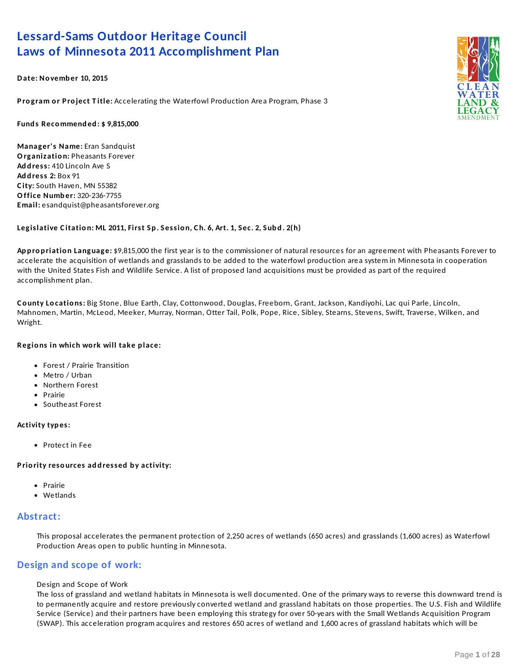## **Lessard-Sams Outdoor Heritage Council Laws of Minnesota 2011 Accomplishment Plan**

**Date: No vemb er 10, 2015**

**P ro gram o r P ro ject T itle:** Accelerating the Waterfowl Production Area Program, Phase 3

**Fund s Recommend ed : \$ 9,815,000**

**Manager's Name:** Eran Sandquist **Organizatio n:** Pheasants Forever **Ad d ress:** 410 Lincoln Ave S **Ad d ress 2:** Box 91 **C ity:** South Haven, MN 55382 **Office Numb er:** 320-236-7755 **Email:** esandquist@pheasantsforever.org

#### Legislative Citation: ML 2011, First Sp. Session, Ch. 6, Art. 1, Sec. 2, Subd. 2(h)

**Ap p ro p riatio n Language:** \$9,815,000 the first year is to the commissioner of natural resources for an agreement with Pheasants Forever to accelerate the acquisition of wetlands and grasslands to be added to the waterfowl production area system in Minnesota in cooperation with the United States Fish and Wildlife Service. A list of proposed land acquisitions must be provided as part of the required accomplishment plan.

**C o unty Lo catio ns:** Big Stone, Blue Earth, Clay, Cottonwood, Douglas, Freeborn, Grant, Jackson, Kandiyohi, Lac qui Parle, Lincoln, Mahnomen, Martin, McLeod, Meeker, Murray, Norman, Otter Tail, Polk, Pope, Rice, Sibley, Stearns, Stevens, Swift, Traverse, Wilken, and Wright.

#### **Regio ns in which wo rk will take p lace:**

- Forest / Prairie Transition
- Metro / Urban
- Northern Forest
- Prairie
- Southeast Forest

#### **Activity typ es:**

Protect in Fee

**P rio rity reso urces ad d ressed b y activity:**

- Prairie
- Wetlands

### **Abstract:**

This proposal accelerates the permanent protection of 2,250 acres of wetlands (650 acres) and grasslands (1,600 acres) as Waterfowl Production Areas open to public hunting in Minnesota.

### **Design and scope of work:**

#### Design and Scope of Work

The loss of grassland and wetland habitats in Minnesota is well documented. One of the primary ways to reverse this downward trend is to permanently acquire and restore previously converted wetland and grassland habitats on those properties. The U.S. Fish and Wildlife Service (Service) and their partners have been employing this strategy for over 50-years with the Small Wetlands Acquisition Program (SWAP). This acceleration program acquires and restores 650 acres of wetland and 1,600 acres of grassland habitats which will be

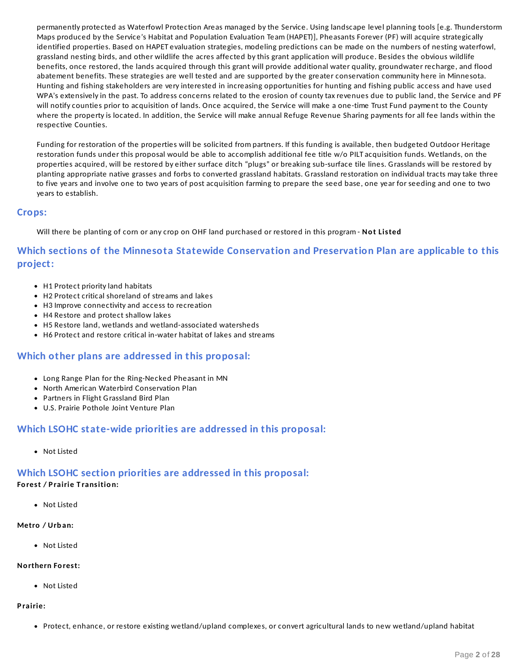permanently protected as Waterfowl Protection Areas managed by the Service. Using landscape level planning tools [e.g. Thunderstorm Maps produced by the Service's Habitat and Population Evaluation Team (HAPET)], Pheasants Forever (PF) will acquire strategically identified properties. Based on HAPET evaluation strategies, modeling predictions can be made on the numbers of nesting waterfowl, grassland nesting birds, and other wildlife the acres affected by this grant application will produce. Besides the obvious wildlife benefits, once restored, the lands acquired through this grant will provide additional water quality, groundwater recharge, and flood abatement benefits. These strategies are well tested and are supported by the greater conservation community here in Minnesota. Hunting and fishing stakeholders are very interested in increasing opportunities for hunting and fishing public access and have used WPA's extensively in the past. To address concerns related to the erosion of county tax revenues due to public land, the Service and PF will notify counties prior to acquisition of lands. Once acquired, the Service will make a one-time Trust Fund payment to the County where the property is located. In addition, the Service will make annual Refuge Revenue Sharing payments for all fee lands within the respective Counties.

Funding for restoration of the properties will be solicited from partners. If this funding is available, then budgeted Outdoor Heritage restoration funds under this proposal would be able to accomplish additional fee title w/o PILT acquisition funds. Wetlands, on the properties acquired, will be restored by either surface ditch "plugs" or breaking sub-surface tile lines. Grasslands will be restored by planting appropriate native grasses and forbs to converted grassland habitats. Grassland restoration on individual tracts may take three to five years and involve one to two years of post acquisition farming to prepare the seed base, one year for seeding and one to two years to establish.

### **Crops:**

Will there be planting of corn or any crop on OHF land purchased or restored in this program - **No t Listed**

### **Which sections of the Minnesota Statewide Conservation and Preservation Plan are applicable to this project:**

- H1 Protect priority land habitats
- H2 Protect critical shoreland of streams and lakes
- H3 Improve connectivity and access to recreation
- H4 Restore and protect shallow lakes
- H5 Restore land, wetlands and wetland-associated watersheds
- H6 Protect and restore critical in-water habitat of lakes and streams

### **Which other plans are addressed in this proposal:**

- Long Range Plan for the Ring-Necked Pheasant in MN
- North American Waterbird Conservation Plan
- Partners in Flight Grassland Bird Plan
- U.S. Prairie Pothole Joint Venture Plan

### **Which LSOHC state-wide priorities are addressed in this proposal:**

Not Listed

## **Which LSOHC section priorities are addressed in this proposal:**

### **Fo rest / P rairie T ransitio n:**

Not Listed

### **Metro / Urb an:**

Not Listed

### **No rthern Fo rest:**

Not Listed

### **P rairie:**

Protect, enhance, or restore existing wetland/upland complexes, or convert agricultural lands to new wetland/upland habitat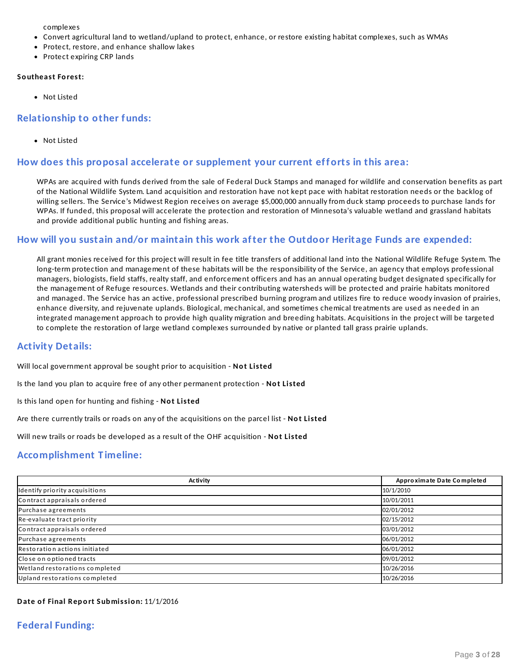complexes

- Convert agricultural land to wetland/upland to protect, enhance, or restore existing habitat complexes, such as WMAs
- Protect, restore, and enhance shallow lakes
- Protect expiring CRP lands

#### **So utheast Fo rest:**

Not Listed

### **Relationship to other funds:**

Not Listed

### **How does this proposal accelerate or supplement your current efforts in this area:**

WPAs are acquired with funds derived from the sale of Federal Duck Stamps and managed for wildlife and conservation benefits as part of the National Wildlife System. Land acquisition and restoration have not kept pace with habitat restoration needs or the backlog of willing sellers. The Service's Midwest Region receives on average \$5,000,000 annually from duck stamp proceeds to purchase lands for WPAs. If funded, this proposal will accelerate the protection and restoration of Minnesota's valuable wetland and grassland habitats and provide additional public hunting and fishing areas.

### **How will you sustain and/or maintain this work after the Outdoor Heritage Funds are expended:**

All grant monies received for this project will result in fee title transfers of additional land into the National Wildlife Refuge System. The long-term protection and management of these habitats will be the responsibility of the Service, an agency that employs professional managers, biologists, field staffs, realty staff, and enforcement officers and has an annual operating budget designated specifically for the management of Refuge resources. Wetlands and their contributing watersheds will be protected and prairie habitats monitored and managed. The Service has an active, professional prescribed burning program and utilizes fire to reduce woody invasion of prairies, enhance diversity, and rejuvenate uplands. Biological, mechanical, and sometimes chemical treatments are used as needed in an integrated management approach to provide high quality migration and breeding habitats. Acquisitions in the project will be targeted to complete the restoration of large wetland complexes surrounded by native or planted tall grass prairie uplands.

### **Activity Details:**

Will local government approval be sought prior to acquisition - **No t Listed**

Is the land you plan to acquire free of any other permanent protection - **No t Listed**

Is this land open for hunting and fishing - **No t Listed**

Are there currently trails or roads on any of the acquisitions on the parcel list - **No t Listed**

Will new trails or roads be developed as a result of the OHF acquisition - **No t Listed**

### **Accomplishment T imeline:**

| Activity                       | Approximate Date Completed |
|--------------------------------|----------------------------|
| Identify priority acquisitions | 10/1/2010                  |
| Contract appraisals ordered    | 10/01/2011                 |
| Purchase agreements            | 02/01/2012                 |
| Re-evaluate tract priority     | 02/15/2012                 |
| Contract appraisals ordered    | 03/01/2012                 |
| Purchase agreements            | 06/01/2012                 |
| Restoration actions initiated  | 06/01/2012                 |
| Close on optioned tracts       | 09/01/2012                 |
| Wetland restorations completed | 10/26/2016                 |
| Upland restorations completed  | 10/26/2016                 |

### **Date o f Final Rep o rt Sub missio n:** 11/1/2016

### **Federal Funding:**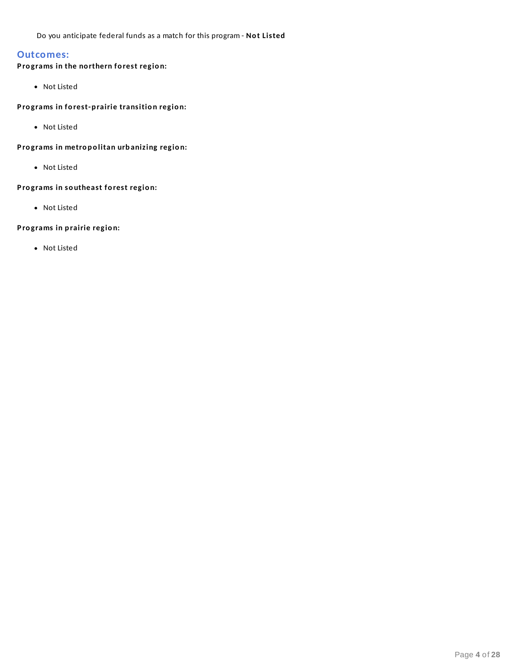Do you anticipate federal funds as a match for this program - **No t Listed**

### **Outcomes:**

### **P ro grams in the no rthern fo rest regio n:**

• Not Listed

#### **P ro grams in fo rest-p rairie transitio n regio n:**

Not Listed

### **P ro grams in metro p o litan urb anizing regio n:**

Not Listed

### **P ro grams in so utheast fo rest regio n:**

Not Listed

#### **P ro grams in p rairie regio n:**

Not Listed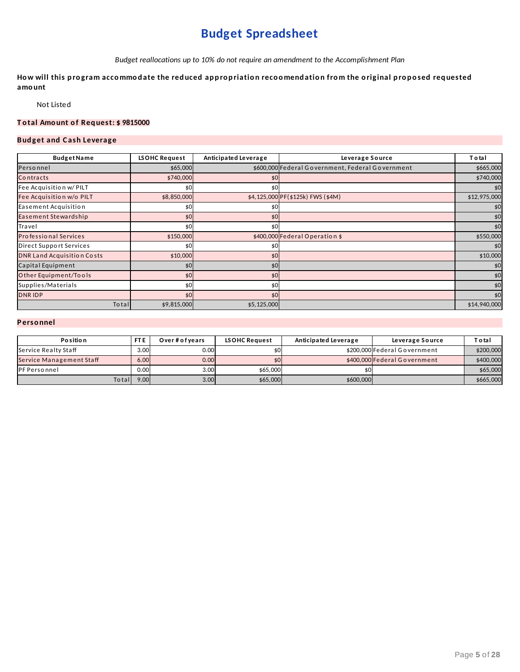## **Budget Spreadsheet**

*Budget reallocations up to 10% do not require an amendment to the Accomplishment Plan*

How will this program accommodate the reduced appropriation recoomendation from the original proposed requested **amo unt**

Not Listed

### **T o tal Amo unt o f Req uest: \$ 9815000**

### **Bud get and C ash Leverage**

| <b>BudgetName</b>                 | <b>LSOHC Request</b> | Anticipated Leverage | Leverage Source                                  | Total        |
|-----------------------------------|----------------------|----------------------|--------------------------------------------------|--------------|
| Personnel                         | \$65,000             |                      | \$600,000 Federal Government, Federal Government | \$665,000    |
| Contracts                         | \$740,000            | \$0                  |                                                  | \$740,000    |
| Fee Acquisition w/ PILT           | \$0                  | \$0                  |                                                  | \$0          |
| Fee Acquisition w/o PILT          | \$8,850,000          |                      | \$4,125,000 PF(\$125k) FWS (\$4M)                | \$12,975,000 |
| Easement Acquisition              | \$0                  | \$0                  |                                                  | \$0          |
| Easement Stewardship              | \$0                  | \$0                  |                                                  | \$0          |
| Travel                            | \$0                  | \$0                  |                                                  | \$0          |
| <b>Professional Services</b>      | \$150,000            |                      | \$400,000 Federal Operation \$                   | \$550,000    |
| Direct Support Services           | \$0                  | \$0                  |                                                  | \$0          |
| <b>DNR Land Acquisition Costs</b> | \$10,000             | \$0                  |                                                  | \$10,000     |
| Capital Equipment                 | \$0                  | \$0                  |                                                  | \$0          |
| Other Equipment/Tools             | \$0                  | \$0                  |                                                  | \$0          |
| Supplies/Materials                | \$0                  | \$0                  |                                                  | \$0          |
| <b>DNRIDP</b>                     | \$0                  | \$0                  |                                                  | \$0          |
| <b>To tal</b>                     | \$9,815,000          | \$5,125,000          |                                                  | \$14,940,000 |

### **P erso nnel**

| <b>Position</b>          | FT <sub>E</sub> | Over#ofvears | <b>LSOHC Request</b> | Anticipated Leverage | Leverage Source              | T o ta l  |
|--------------------------|-----------------|--------------|----------------------|----------------------|------------------------------|-----------|
| Service Realty Staff     | 3.00            | 0.00         |                      |                      | \$200,000 Federal Government | \$200,000 |
| Service Management Staff | 6.00            | 0.00         |                      |                      | \$400,000 Federal Government | \$400,000 |
| PF Personnel             | 0.00            | 3.00         | \$65,000             |                      |                              | \$65,000  |
| Totall                   | 9.00            | 3.00         | \$65,000             | \$600,000            |                              | \$665,000 |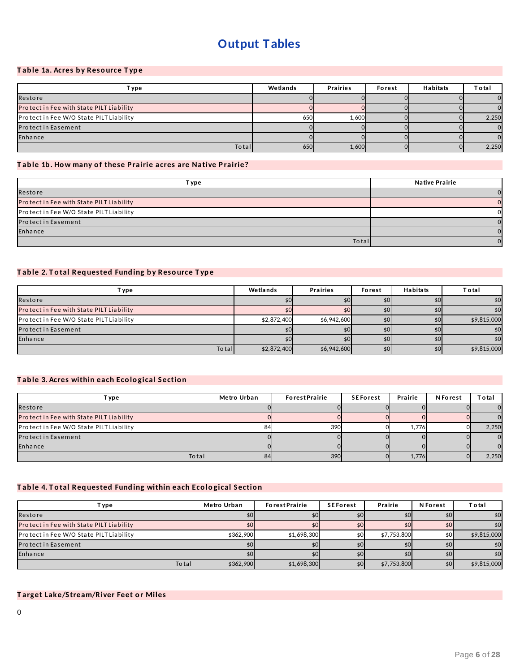## **Output Tables**

### **T ab le 1a. Acres b y Reso urce T yp e**

| T ype i                                  | Wetlands | <b>Prairies</b> | Forest | Habitats | T o ta l |
|------------------------------------------|----------|-----------------|--------|----------|----------|
| Restore                                  |          |                 |        |          |          |
| Protect in Fee with State PILT Liability |          |                 |        |          |          |
| Protect in Fee W/O State PILT Liability  | 650      | 1.600           |        |          | 2,250    |
| <b>Protect in Easement</b>               |          |                 |        |          |          |
| Enhance                                  |          |                 |        |          |          |
| Total                                    | 650      | 1,600           |        |          | 2,250    |

### **T ab le 1b . How many o f these P rairie acres are Native P rairie?**

| T ype                                    | <b>Native Prairie</b> |
|------------------------------------------|-----------------------|
| Restore                                  |                       |
| Protect in Fee with State PILT Liability |                       |
| Protect in Fee W/O State PILT Liability  |                       |
| Protect in Easement                      |                       |
| Enhance                                  |                       |
| <b>To ta</b>                             |                       |

### **T ab le 2. T o tal Req uested Fund ing b y Reso urce T yp e**

| T ype                                    | Wetlands    | <b>Prairies</b> | Forest | <b>Habitats</b> | <b>Total</b> |
|------------------------------------------|-------------|-----------------|--------|-----------------|--------------|
| Restore                                  |             |                 |        |                 | \$0          |
| Protect in Fee with State PILT Liability | \$0         |                 |        |                 | \$0          |
| Protect in Fee W/O State PILT Liability  | \$2,872,400 | \$6,942,600     |        |                 | \$9,815,000  |
| <b>Protect in Easement</b>               |             |                 |        |                 | \$0          |
| Enhance                                  |             |                 |        |                 | \$0          |
| Total                                    | \$2,872,400 | \$6,942,600     |        | \$0             | \$9,815,000  |

#### **T ab le 3. Acres within each Eco lo gical Sectio n**

| T ype                                    | Metro Urban | <b>ForestPrairie</b> | <b>SEForest</b> | Prairie | <b>N</b> Forest | T o tal        |
|------------------------------------------|-------------|----------------------|-----------------|---------|-----------------|----------------|
| Restore                                  |             |                      |                 |         |                 | $\overline{0}$ |
| Protect in Fee with State PILT Liability |             |                      |                 |         |                 | $\overline{0}$ |
| Protect in Fee W/O State PILT Liability  |             | 390                  |                 | 1.776   |                 | 2,250          |
| <b>Protect in Easement</b>               |             |                      |                 |         |                 | $\overline{0}$ |
| Enhance                                  |             |                      |                 |         |                 | $\Omega$       |
| Total                                    | 84          | 390                  |                 | 1,776   |                 | 2,250          |

### **T ab le 4. T o tal Req uested Fund ing within each Eco lo gical Sectio n**

| Т уре                                    | Metro Urban | <b>ForestPrairie</b> | <b>SEForest</b> | Prairie     | <b>N</b> Forest | <b>Total</b> |
|------------------------------------------|-------------|----------------------|-----------------|-------------|-----------------|--------------|
| Restore                                  | \$01        |                      |                 |             |                 | \$0          |
| Protect in Fee with State PILT Liability | \$0         | \$0                  |                 |             |                 | \$0          |
| Protect in Fee W/O State PILT Liability  | \$362,900   | \$1,698,300          |                 | \$7,753,800 | \$0             | \$9,815,000  |
| <b>Protect in Easement</b>               | \$0         |                      |                 |             |                 | \$0          |
| Enhance                                  | \$0         |                      |                 |             |                 | \$0          |
| Total                                    | \$362,900   | \$1,698,300          |                 | \$7,753,800 | \$0             | \$9,815,000  |

#### **T arget Lake/Stream/River Feet o r Miles**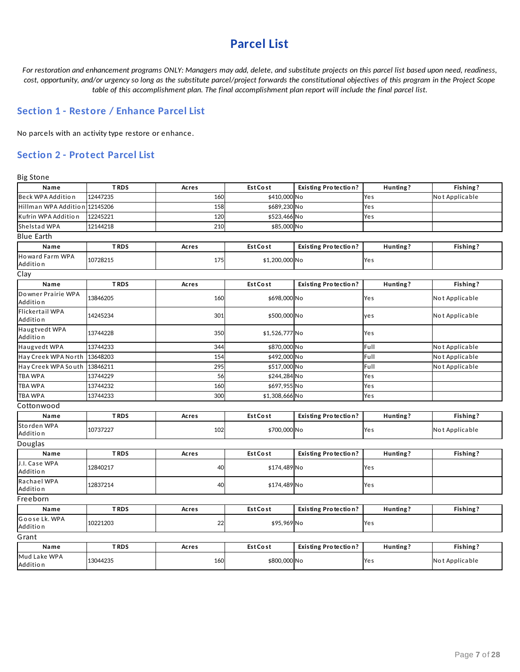## **Parcel List**

For restoration and enhancement programs ONLY: Managers may add, delete, and substitute projects on this parcel list based upon need, readiness, cost, opportunity, and/or urgency so long as the substitute parcel/project forwards the constitutional objectives of this program in the Project Scope *table of this accomplishment plan. The final accomplishment plan report will include the final parcel list.*

### **Section 1 - Restore / Enhance Parcel List**

No parcels with an activity type restore or enhance.

### **Section 2 - Protect Parcel List**

Big Stone

| Name                           | <b>TRDS</b> | Acres | <b>Est Cost</b> | <b>Existing Protection?</b> | Hunting? | Fishing?       |  |  |
|--------------------------------|-------------|-------|-----------------|-----------------------------|----------|----------------|--|--|
| Beck WPA Addition              | 12447235    | 160   | \$410,000 No    |                             | Yes      | Not Applicable |  |  |
| Hillman WPA Addition           | 12145206    | 158   | \$689,230 No    |                             | Yes      |                |  |  |
| Kufrin WPA Addition            | 12245221    | 120   | \$523,466 No    |                             | Yes      |                |  |  |
| Shelstad WPA                   | 12144218    | 210   | \$85,000 No     |                             |          |                |  |  |
| <b>Blue Earth</b>              |             |       |                 |                             |          |                |  |  |
| Name                           | <b>TRDS</b> | Acres | <b>Est Cost</b> | <b>Existing Protection?</b> | Hunting? | Fishing?       |  |  |
| Howard Farm WPA<br>Addition    | 10728215    | 175   | \$1,200,000 No  |                             | Yes      |                |  |  |
| Clay                           |             |       |                 |                             |          |                |  |  |
| Name                           | <b>TRDS</b> | Acres | <b>Est Cost</b> | <b>Existing Protection?</b> | Hunting? | Fishing?       |  |  |
| Downer Prairie WPA<br>Addition | 13846205    | 160   | \$698,000 No    |                             | Yes      | Not Applicable |  |  |
| Flickertail WPA<br>Addition    | 14245234    | 301   | \$500,000 No    |                             | yes      | Not Applicable |  |  |
| Haugtvedt WPA<br>Addition      | 13744228    | 350   | \$1,526,777 No  |                             | Yes      |                |  |  |
| Haugvedt WPA                   | 13744233    | 344   | \$870,000 No    |                             | Full     | Not Applicable |  |  |
| Hay Creek WPA North            | 13648203    | 154   | \$492,000 No    |                             | Full     | Not Applicable |  |  |
| Hay Creek WPA South            | 13846211    | 295   | \$517,000 No    |                             | Full     | Not Applicable |  |  |
| <b>TBA WPA</b>                 | 13744229    | 56    | \$244,284 No    |                             | Yes      |                |  |  |
| <b>TBA WPA</b>                 | 13744232    | 160   | \$697,955 No    |                             | Yes      |                |  |  |
| <b>TBAWPA</b>                  | 13744233    | 300   | \$1,308,666 No  |                             | Yes      |                |  |  |
| Cottonwood                     |             |       |                 |                             |          |                |  |  |
| Name                           | <b>TRDS</b> | Acres | <b>Est Cost</b> | <b>Existing Protection?</b> | Hunting? | Fishing?       |  |  |
| Storden WPA<br>Addition        | 10737227    | 102   | \$700,000 No    |                             | Yes      | Not Applicable |  |  |
| Douglas                        |             |       |                 |                             |          |                |  |  |
| Name                           | <b>TRDS</b> | Acres | <b>Est Cost</b> | <b>Existing Protection?</b> | Hunting? | Fishing?       |  |  |
| J.I. Case WPA<br>Addition      | 12840217    | 40    | \$174,489 No    |                             | Yes      |                |  |  |
| Rachael WPA<br>Addition        | 12837214    | 40    | \$174,489 No    |                             | Yes      |                |  |  |
| Freeborn                       |             |       |                 |                             |          |                |  |  |
| Name                           | <b>TRDS</b> | Acres | <b>Est Cost</b> | <b>Existing Protection?</b> | Hunting? | Fishing?       |  |  |
| Goose Lk. WPA<br>Addition      | 10221203    | 22    | \$95,969 No     |                             | Yes      |                |  |  |
| Grant                          |             |       |                 |                             |          |                |  |  |
| Name                           | <b>TRDS</b> | Acres | <b>Est Cost</b> | <b>Existing Protection?</b> | Hunting? | Fishing?       |  |  |
| Mud Lake WPA<br>Addition       | 13044235    | 160   | \$800,000 No    |                             | Yes      | Not Applicable |  |  |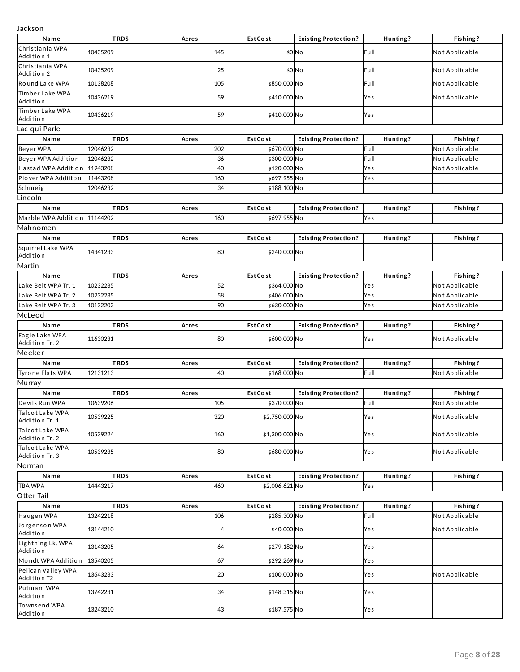Jackson

| Jackson                           |             |       |                 |                             |          |                |
|-----------------------------------|-------------|-------|-----------------|-----------------------------|----------|----------------|
| Name                              | <b>TRDS</b> | Acres | <b>Est Cost</b> | <b>Existing Protection?</b> | Hunting? | Fishing?       |
| Christiania WPA<br>Addition 1     | 10435209    | 145   |                 | \$0 No                      | Full     | Not Applicable |
| Christiania WPA<br>Addition 2     | 10435209    | 25    |                 | \$0 No                      | Full     | Not Applicable |
| Round Lake WPA                    | 10138208    | 105   | \$850,000 No    |                             | Full     | Not Applicable |
| Timber Lake WPA<br>Addition       | 10436219    | 59    | \$410,000 No    |                             | Yes      | Not Applicable |
| Timber Lake WPA<br>Addition       | 10436219    | 59    | \$410,000 No    |                             | Yes      |                |
| Lac qui Parle                     |             |       |                 |                             |          |                |
| Name                              | <b>TRDS</b> | Acres | <b>Est Cost</b> | <b>Existing Protection?</b> | Hunting? | Fishing?       |
| Beyer WPA                         | 12046232    | 202   | \$670,000 No    |                             | Full     | Not Applicable |
| Beyer WPA Addition                | 12046232    | 36    | \$300,000 No    |                             | Full     | Not Applicable |
| Hastad WPA Addition               | 11943208    | 40    | \$120,000 No    |                             | Yes      | Not Applicable |
| Plover WPA Addiiton               | 11443208    | 160   | \$697,955 No    |                             | Yes      |                |
| Schmeig                           | 12046232    | 34    | \$188,100 No    |                             |          |                |
| Lincoln                           |             |       |                 |                             |          |                |
| Name                              | <b>TRDS</b> | Acres | <b>Est Cost</b> | <b>Existing Protection?</b> | Hunting? | Fishing?       |
| Marble WPA Addition               | 11144202    | 160   | \$697,955 No    |                             | Yes      |                |
| Mahnomen                          |             |       |                 |                             |          |                |
| Name                              | <b>TRDS</b> | Acres | <b>Est Cost</b> | <b>Existing Protection?</b> | Hunting? | Fishing?       |
| Squirrel Lake WPA<br>Addition     | 14341233    | 80    | \$240,000 No    |                             |          |                |
| Martin                            |             |       |                 |                             |          |                |
| Name                              | <b>TRDS</b> | Acres | <b>Est Cost</b> | <b>Existing Protection?</b> | Hunting? | Fishing?       |
| Lake Belt WPA Tr. 1               | 10232235    | 52    | \$364,000 No    |                             | Yes      | Not Applicable |
| Lake Belt WPA Tr. 2               | 10232235    | 58    | \$406,000 No    |                             | Yes      | Not Applicable |
| Lake Belt WPA Tr. 3               | 10132202    | 90    | \$630,000 No    |                             | Yes      | Not Applicable |
| McLeod                            |             |       |                 |                             |          |                |
| Name                              | <b>TRDS</b> | Acres | <b>Est Cost</b> | <b>Existing Protection?</b> | Hunting? | Fishing?       |
| Eagle Lake WPA                    |             |       |                 |                             |          |                |
| Addition Tr. 2                    | 11630231    | 80    | \$600,000 No    |                             | Yes      | Not Applicable |
| Meeker                            |             |       |                 |                             |          |                |
| Name                              | <b>TRDS</b> | Acres | <b>Est Cost</b> | <b>Existing Protection?</b> | Hunting? | Fishing?       |
| Tyrone Flats WPA                  | 12131213    | 40    | \$168,000 No    |                             | Full     | Not Applicable |
| Murray                            |             |       |                 |                             |          |                |
| Name                              | <b>TRDS</b> | Acres | <b>Est Cost</b> | <b>Existing Protection?</b> | Hunting? | Fishing?       |
| Devils Run WPA                    | 10639206    | 105   | \$370,000 No    |                             | Full     | Not Applicable |
| Talcot Lake WPA<br>Addition Tr. 1 | 10539225    | 320   | \$2,750,000 No  |                             | Yes      | Not Applicable |
| Talcot Lake WPA<br>Addition Tr. 2 | 10539224    | 160   | \$1,300,000 No  |                             | Yes      | Not Applicable |
| Talcot Lake WPA<br>Addition Tr. 3 | 10539235    | 80    | \$680,000 No    |                             | Yes      | Not Applicable |
| Norman                            |             |       |                 |                             |          |                |
| Name                              | <b>TRDS</b> | Acres | EstCost         | <b>Existing Protection?</b> | Hunting? | Fishing?       |
| <b>TBA WPA</b>                    | 14443217    | 460   | \$2,006,621 No  |                             | Yes      |                |
| Otter Tail                        |             |       |                 |                             |          |                |
| Name                              | <b>TRDS</b> | Acres | EstCost         | <b>Existing Protection?</b> | Hunting? | Fishing?       |
| Haugen WPA                        | 13242218    | 106   | \$285,300 No    |                             | Full     | Not Applicable |
| Jorgenson WPA<br>Addition         | 13144210    |       | \$40,000 No     |                             | Yes      | Not Applicable |
| Lightning Lk. WPA<br>Addition     | 13143205    | 64    | \$279,182 No    |                             | Yes      |                |
| Mondt WPA Addition                | 13540205    | 67    | \$292,269 No    |                             | Yes      |                |
| Pelican Valley WPA<br>Addition T2 | 13643233    | 20    | \$100,000 No    |                             | Yes      | Not Applicable |
| Putmam WPA<br>Addition            | 13742231    | 34    | \$148,315 No    |                             | Yes      |                |
| To wnsend WPA<br>Addition         | 13243210    | 43    | \$187,575 No    |                             | Yes      |                |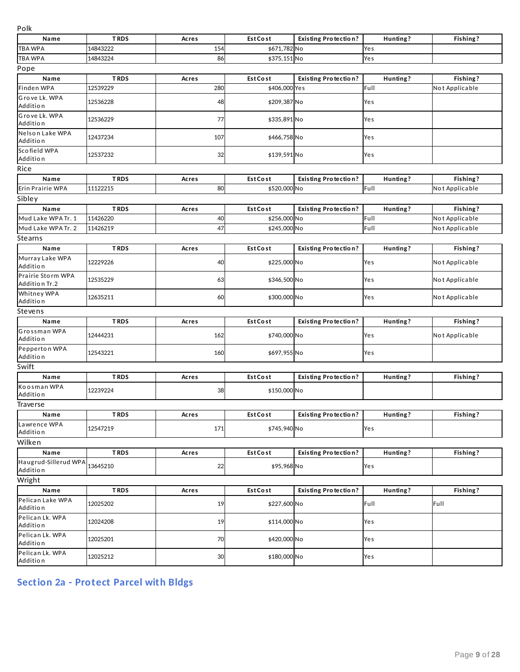| Polk                               |             |       |                 |                             |          |                |
|------------------------------------|-------------|-------|-----------------|-----------------------------|----------|----------------|
| Name                               | <b>TRDS</b> | Acres | <b>Est Cost</b> | <b>Existing Protection?</b> | Hunting? | Fishing?       |
| <b>TBA WPA</b>                     | 14843222    | 154   | \$671,782 No    |                             | Yes      |                |
| TBA WPA                            | 14843224    | 86    | \$375,151 No    |                             | Yes      |                |
| Pope                               |             |       |                 |                             |          |                |
| Name                               | <b>TRDS</b> | Acres | <b>Est Cost</b> | <b>Existing Protection?</b> | Hunting? | Fishing?       |
| Finden WPA                         | 12539229    | 280   | \$406,000 Yes   |                             | Full     | Not Applicable |
| Grove Lk. WPA                      | 12536228    |       | \$209,387 No    |                             |          |                |
| Addition                           |             | 48    |                 |                             | Yes      |                |
| Grove Lk. WPA<br>Addition          | 12536229    | 77    | \$335,891 No    |                             | Yes      |                |
| Nelson Lake WPA<br>Addition        | 12437234    | 107   | \$466,758 No    |                             | Yes      |                |
| Scofield WPA<br>Addition           | 12537232    | 32    | \$139,591 No    |                             | Yes      |                |
| Rice                               |             |       |                 |                             |          |                |
| Name                               | <b>TRDS</b> | Acres | <b>Est Cost</b> | <b>Existing Protection?</b> | Hunting? | Fishing?       |
| Erin Prairie WPA                   | 11122215    | 80    | \$520,000 No    |                             | Full     | Not Applicable |
| Sibley                             |             |       |                 |                             |          |                |
| Name                               | <b>TRDS</b> | Acres | <b>Est Cost</b> | <b>Existing Protection?</b> | Hunting? | Fishing?       |
| Mud Lake WPA Tr. 1                 | 11426220    | 40    | \$256,000 No    |                             | Full     | Not Applicable |
| Mud Lake WPA Tr. 2                 | 11426219    | 47    | \$245,000 No    |                             | Full     | Not Applicable |
| Stearns                            |             |       |                 |                             |          |                |
| Name                               | <b>TRDS</b> | Acres | <b>Est Cost</b> | <b>Existing Protection?</b> | Hunting? | Fishing?       |
| Murray Lake WPA<br>Additio n       | 12229226    | 40    | \$225,000 No    |                             | Yes      | Not Applicable |
| Prairie Storm WPA<br>Addition Tr.2 | 12535229    | 63    | \$346,500 No    |                             | Yes      | Not Applicable |
| Whitney WPA<br>Addition            | 12635211    | 60    | \$300,000 No    |                             | Yes      | Not Applicable |
| Stevens                            |             |       |                 |                             |          |                |
| Name                               | <b>TRDS</b> | Acres | <b>Est Cost</b> | <b>Existing Protection?</b> | Hunting? | Fishing?       |
| Grossman WPA                       |             |       |                 |                             |          |                |
| Addition<br>Pepperton WPA          | 12444231    | 162   | \$740,000 No    |                             | Yes      | Not Applicable |
| Addition                           | 12543221    | 160   | \$697,955 No    |                             | Yes      |                |
| Swift                              |             |       |                 |                             |          |                |
| Name                               | <b>TRDS</b> | Acres | <b>Est Cost</b> | <b>Existing Protection?</b> | Hunting? | Fishing?       |
| Koosman WPA<br>Addition            | 12239224    | 38    | \$150,000 No    |                             |          |                |
| <b>Iraverse</b>                    |             |       |                 |                             |          |                |
| Name                               | <b>TRDS</b> | Acres | EstCost         | <b>Existing Protection?</b> | Hunting? | Fishing?       |
| Lawrence WPA<br>Addition           | 12547219    | 171   | \$745,940 No    |                             | Yes      |                |
| Wilken                             |             |       |                 |                             |          |                |
| Name                               | <b>TRDS</b> | Acres | <b>Est Cost</b> | <b>Existing Protection?</b> | Hunting? | Fishing?       |
| Haugrud-Sillerud WPA<br>Addition   | 13645210    | 22    | \$95,968 No     |                             | Yes      |                |
| Wright                             |             |       |                 |                             |          |                |
| Name                               | <b>TRDS</b> | Acres | EstCost         | <b>Existing Protection?</b> | Hunting? | Fishing?       |
| Pelican Lake WPA<br>Addition       | 12025202    | 19    | \$227,600 No    |                             | Full     | Full           |
| Pelican Lk. WPA<br>Addition        | 12024208    | 19    | \$114,000 No    |                             | Yes      |                |
| Pelican Lk. WPA<br>Addition        | 12025201    | 70    | \$420,000 No    |                             | Yes      |                |
| Pelican Lk. WPA<br>Addition        | 12025212    | 30    | \$180,000 No    |                             | Yes      |                |

**Section 2a - Protect Parcel with Bldgs**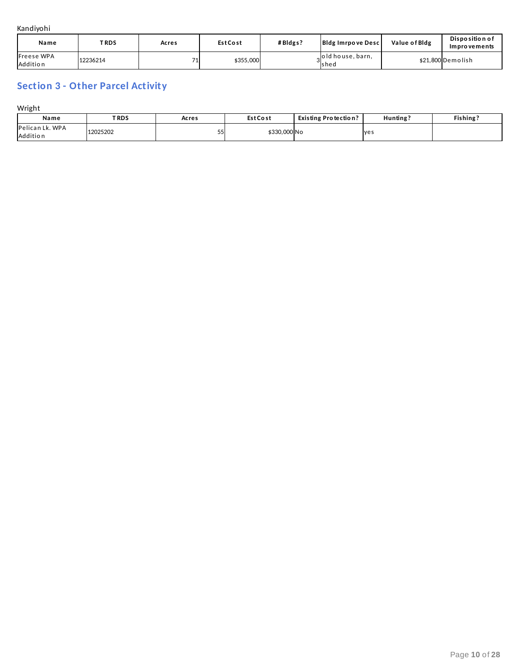Kandiyohi

| Name                          | TRDS.    | Acres | <b>EstCost</b> | #Bldgs? | <b>Bldg Imrpove Descl</b> | Value of Bldg | Disposition of<br>Improvements |
|-------------------------------|----------|-------|----------------|---------|---------------------------|---------------|--------------------------------|
| <b>Freese WPA</b><br>Addition | 12236214 |       | \$355,000      |         | old house, barn.<br>shed  |               | \$21.800 Demolish              |

## **Section 3 - Other Parcel Activity**

Wright

| Name                               | <b>TRDS</b> | Acres | <b>Est Cost</b> | <b>Existing Protection?</b> | Hunting    | Fishing? |
|------------------------------------|-------------|-------|-----------------|-----------------------------|------------|----------|
| Pelican Lk. WPA<br><b>Addition</b> | 12025202    | ر ر   | \$330,000 No    |                             | <b>yes</b> |          |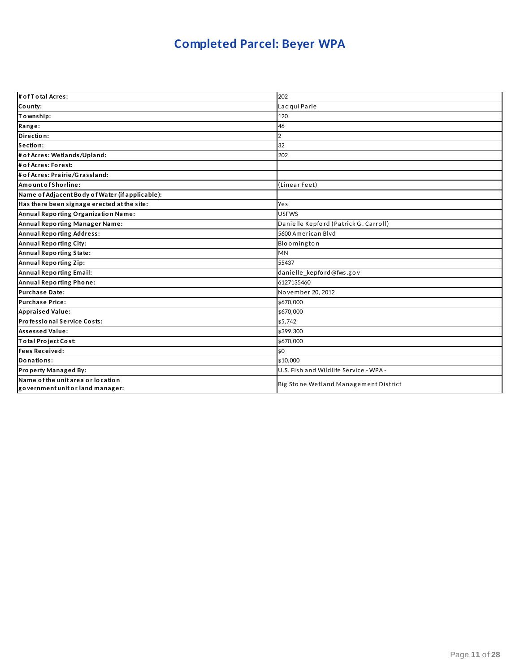# **Completed Parcel: Beyer WPA**

| # of T otal Acres:                                                    | 202                                    |
|-----------------------------------------------------------------------|----------------------------------------|
| County:                                                               | Lac qui Parle                          |
| Township:                                                             | 120                                    |
| Range:                                                                | 46                                     |
| Direction:                                                            | $\overline{2}$                         |
| Section:                                                              | 32                                     |
| # of Acres: Wetlands/Upland:                                          | 202                                    |
| # of Acres: Forest:                                                   |                                        |
| # of Acres: Prairie/Grassland:                                        |                                        |
| AmountofShorline:                                                     | (Linear Feet)                          |
| Name of Adjacent Body of Water (if applicable):                       |                                        |
| Has there been signage erected at the site:                           | Yes                                    |
| Annual Reporting Organization Name:                                   | <b>USFWS</b>                           |
| Annual Reporting Manager Name:                                        | Danielle Kepford (Patrick G. Carroll)  |
| <b>Annual Reporting Address:</b>                                      | 5600 American Blyd                     |
| <b>Annual Reporting City:</b>                                         | Bloomington                            |
| Annual Reporting State:                                               | <b>MN</b>                              |
| Annual Reporting Zip:                                                 | 55437                                  |
| Annual Reporting Email:                                               | danielle_kepford@fws.gov               |
| Annual Reporting Phone:                                               | 6127135460                             |
| <b>Purchase Date:</b>                                                 | November 20, 2012                      |
| <b>Purchase Price:</b>                                                | \$670,000                              |
| <b>Appraised Value:</b>                                               | \$670,000                              |
| Professional Service Costs:                                           | \$5,742                                |
| <b>Assessed Value:</b>                                                | \$399.300                              |
| Total Project Cost:                                                   | \$670,000                              |
| <b>Fees Received:</b>                                                 | \$0                                    |
| Donations:                                                            | \$10,000                               |
| Property Managed By:                                                  | U.S. Fish and Wildlife Service - WPA - |
| Name of the unit area or location<br>government unit or land manager: | Big Stone Wetland Management District  |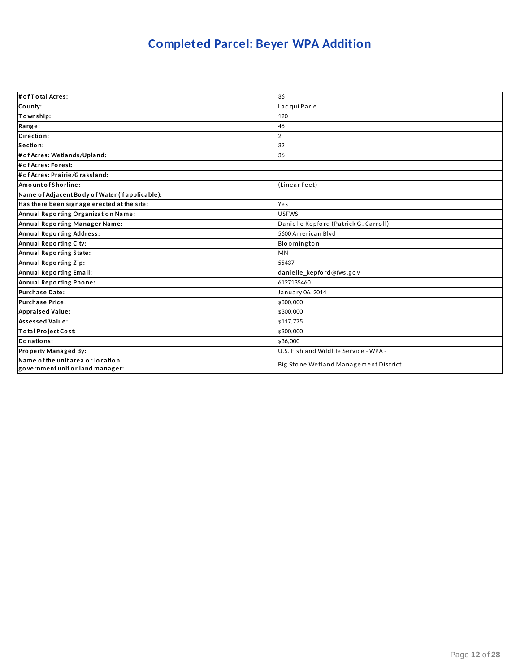# **Completed Parcel: Beyer WPA Addition**

| # of T o tal Acres:                                                   | 36                                     |
|-----------------------------------------------------------------------|----------------------------------------|
| County:                                                               | Lac qui Parle                          |
| Township:                                                             | 120                                    |
| Range:                                                                | 46                                     |
| Direction:                                                            | $\mathcal{P}$                          |
| Section:                                                              | 32                                     |
| # of Acres: Wetlands/Upland:                                          | 36                                     |
| # of Acres: Forest:                                                   |                                        |
| # of Acres: Prairie/Grassland:                                        |                                        |
| AmountofShorline:                                                     | (Linear Feet)                          |
| Name of Adjacent Body of Water (if applicable):                       |                                        |
| Has there been signage erected at the site:                           | Yes                                    |
| Annual Reporting Organization Name:                                   | <b>USFWS</b>                           |
| Annual Reporting Manager Name:                                        | Danielle Kepford (Patrick G. Carroll)  |
| Annual Reporting Address:                                             | 5600 American Blyd                     |
| Annual Reporting City:                                                | Bloomington                            |
| Annual Reporting State:                                               | <b>MN</b>                              |
| Annual Reporting Zip:                                                 | 55437                                  |
| Annual Reporting Email:                                               | danielle_kepford@fws.gov               |
| Annual Reporting Phone:                                               | 6127135460                             |
| Purchase Date:                                                        | January 06, 2014                       |
| <b>Purchase Price:</b>                                                | \$300,000                              |
| <b>Appraised Value:</b>                                               | \$300,000                              |
| <b>Assessed Value:</b>                                                | \$117.775                              |
| Total Project Cost:                                                   | \$300,000                              |
| Donations:                                                            | \$36,000                               |
| Property Managed By:                                                  | U.S. Fish and Wildlife Service - WPA - |
| Name of the unit area or location<br>government unit or land manager: | Big Stone Wetland Management District  |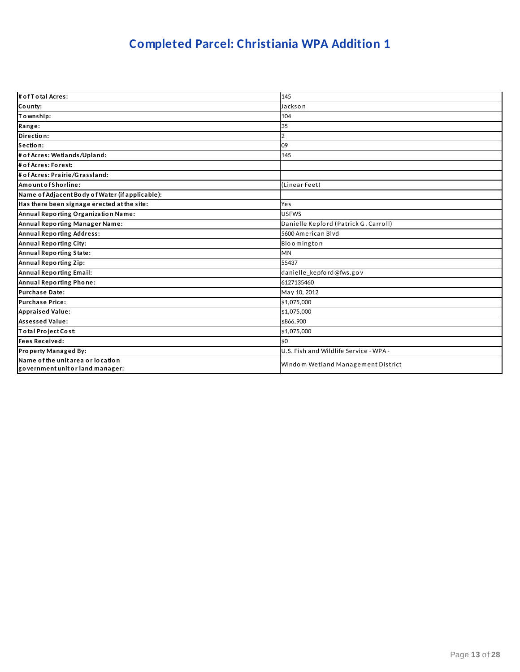# **Completed Parcel: Christiania WPA Addition 1**

| # of T o tal Acres:                                                   | 145                                    |
|-----------------------------------------------------------------------|----------------------------------------|
| County:                                                               | Jackson                                |
| To wnship:                                                            | 104                                    |
| Range:                                                                | 35                                     |
| Direction:                                                            |                                        |
| Section:                                                              | 09                                     |
| # of Acres: Wetlands/Upland:                                          | 145                                    |
| # of Acres: Forest:                                                   |                                        |
| # of Acres: Prairie/Grassland:                                        |                                        |
| AmountofShorline:                                                     | (Linear Feet)                          |
| Name of Adjacent Body of Water (if applicable):                       |                                        |
| Has there been signage erected at the site:                           | Yes                                    |
| Annual Reporting Organization Name:                                   | <b>USFWS</b>                           |
| Annual Reporting Manager Name:                                        | Danielle Kepford (Patrick G. Carroll)  |
| <b>Annual Reporting Address:</b>                                      | 5600 American Blyd                     |
| Annual Reporting City:                                                | Bloomington                            |
| Annual Reporting State:                                               | <b>MN</b>                              |
| Annual Reporting Zip:                                                 | 55437                                  |
| Annual Reporting Email:                                               | danielle_kepford@fws.gov               |
| Annual Reporting Phone:                                               | 6127135460                             |
| <b>Purchase Date:</b>                                                 | May 10, 2012                           |
| <b>Purchase Price:</b>                                                | \$1,075,000                            |
| <b>Appraised Value:</b>                                               | \$1,075,000                            |
| <b>Assessed Value:</b>                                                | \$866,900                              |
| Total Project Cost:                                                   | \$1,075,000                            |
| <b>Fees Received:</b>                                                 | \$0                                    |
| Property Managed By:                                                  | U.S. Fish and Wildlife Service - WPA - |
| Name of the unit area or location<br>government unit or land manager: | Windom Wetland Management District     |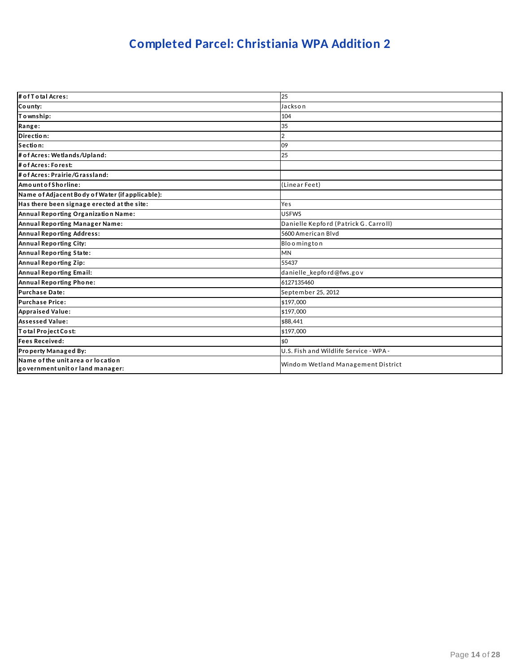# **Completed Parcel: Christiania WPA Addition 2**

| # of T o tal Acres:                                                   | 25                                     |
|-----------------------------------------------------------------------|----------------------------------------|
| County:                                                               | Jackson                                |
| Township:                                                             | 104                                    |
| Range:                                                                | 35                                     |
| Direction:                                                            |                                        |
| Section:                                                              | 09                                     |
| # of Acres: Wetlands/Upland:                                          | 25                                     |
| # of Acres: Forest:                                                   |                                        |
| # of Acres: Prairie/Grassland:                                        |                                        |
| AmountofShorline:                                                     | (Linear Feet)                          |
| Name of Adjacent Body of Water (if applicable):                       |                                        |
| Has there been signage erected at the site:                           | Yes                                    |
| Annual Reporting Organization Name:                                   | <b>USFWS</b>                           |
| Annual Reporting Manager Name:                                        | Danielle Kepford (Patrick G. Carroll)  |
| <b>Annual Reporting Address:</b>                                      | 5600 American Blyd                     |
| Annual Reporting City:                                                | Bloomington                            |
| <b>Annual Reporting State:</b>                                        | MN                                     |
| Annual Reporting Zip:                                                 | 55437                                  |
| <b>Annual Reporting Email:</b>                                        | danielle_kepford@fws.gov               |
| Annual Reporting Phone:                                               | 6127135460                             |
| <b>Purchase Date:</b>                                                 | September 25, 2012                     |
| <b>Purchase Price:</b>                                                | \$197,000                              |
| <b>Appraised Value:</b>                                               | \$197,000                              |
| <b>Assessed Value:</b>                                                | \$88.441                               |
| Total Project Cost:                                                   | \$197,000                              |
| <b>Fees Received:</b>                                                 | \$0                                    |
| <b>Property Managed By:</b>                                           | U.S. Fish and Wildlife Service - WPA - |
| Name of the unit area or location<br>government unit or land manager: | Windom Wetland Management District     |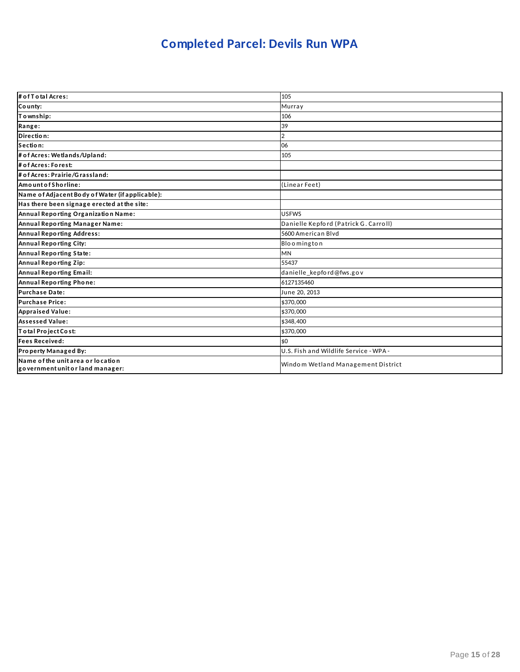## **Completed Parcel: Devils Run WPA**

| # of T o tal Acres:                                                   | 105                                    |
|-----------------------------------------------------------------------|----------------------------------------|
| County:                                                               | Murray                                 |
| Township:                                                             | 106                                    |
| Range:                                                                | 39                                     |
| Direction:                                                            |                                        |
| Section:                                                              | 06                                     |
| # of Acres: Wetlands/Upland:                                          | 105                                    |
| # of Acres: Forest:                                                   |                                        |
| # of Acres: Prairie/Grassland:                                        |                                        |
| AmountofShorline:                                                     | (Linear Feet)                          |
| Name of Adjacent Body of Water (if applicable):                       |                                        |
| Has there been signage erected at the site:                           |                                        |
| Annual Reporting Organization Name:                                   | <b>USFWS</b>                           |
| Annual Reporting Manager Name:                                        | Danielle Kepford (Patrick G. Carroll)  |
| <b>Annual Reporting Address:</b>                                      | 5600 American Blyd                     |
| <b>Annual Reporting City:</b>                                         | Bloomington                            |
| Annual Reporting State:                                               | MN                                     |
| Annual Reporting Zip:                                                 | 55437                                  |
| <b>Annual Reporting Email:</b>                                        | danielle kepford@fws.gov               |
| Annual Reporting Phone:                                               | 6127135460                             |
| <b>Purchase Date:</b>                                                 | June 20, 2013                          |
| <b>Purchase Price:</b>                                                | \$370,000                              |
| <b>Appraised Value:</b>                                               | \$370,000                              |
| <b>Assessed Value:</b>                                                | \$348,400                              |
| Total Project Cost:                                                   | \$370,000                              |
| <b>Fees Received:</b>                                                 | \$0                                    |
| Property Managed By:                                                  | U.S. Fish and Wildlife Service - WPA - |
| Name of the unit area or location<br>government unit or land manager: | Windom Wetland Management District     |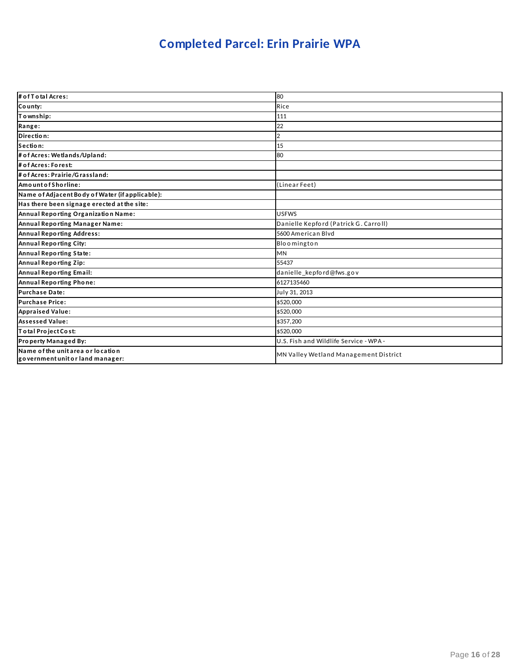## **Completed Parcel: Erin Prairie WPA**

| # of T o tal Acres:                                                   | 80                                     |
|-----------------------------------------------------------------------|----------------------------------------|
| County:                                                               | Rice                                   |
| Township:                                                             | 111                                    |
| Range:                                                                | 22                                     |
| Direction:                                                            | 2                                      |
| Section:                                                              | 15                                     |
| # of Acres: Wetlands/Upland:                                          | 80                                     |
| # of Acres: Forest:                                                   |                                        |
| # of Acres: Prairie/Grassland:                                        |                                        |
| AmountofShorline:                                                     | (Linear Feet)                          |
| Name of Adjacent Body of Water (if applicable):                       |                                        |
| Has there been signage erected at the site:                           |                                        |
| Annual Reporting Organization Name:                                   | <b>USFWS</b>                           |
| Annual Reporting Manager Name:                                        | Danielle Kepford (Patrick G. Carroll)  |
| <b>Annual Reporting Address:</b>                                      | 5600 American Blyd                     |
| Annual Reporting City:                                                | Bloomington                            |
| Annual Reporting State:                                               | <b>MN</b>                              |
| Annual Reporting Zip:                                                 | 55437                                  |
| Annual Reporting Email:                                               | danielle_kepford@fws.gov               |
| Annual Reporting Phone:                                               | 6127135460                             |
| <b>Purchase Date:</b>                                                 | July 31, 2013                          |
| <b>Purchase Price:</b>                                                | \$520,000                              |
| <b>Appraised Value:</b>                                               | \$520,000                              |
| <b>Assessed Value:</b>                                                | \$357,200                              |
| Total Project Cost:                                                   | \$520,000                              |
| Property Managed By:                                                  | U.S. Fish and Wildlife Service - WPA - |
| Name of the unit area or location<br>government unit or land manager: | MN Valley Wetland Management District  |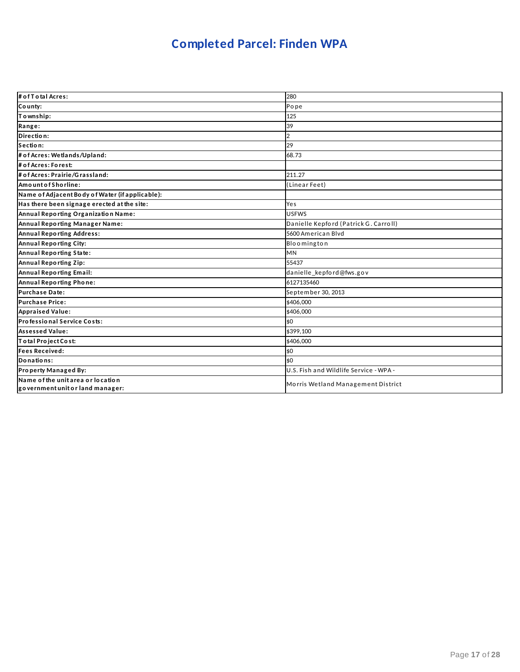# **Completed Parcel: Finden WPA**

| # of T otal Acres:                                                    | 280                                    |
|-----------------------------------------------------------------------|----------------------------------------|
| County:                                                               | Pope                                   |
| Township:                                                             | 125                                    |
| Range:                                                                | 39                                     |
| Direction:                                                            | $\overline{2}$                         |
| Section:                                                              | 29                                     |
| # of Acres: Wetlands/Upland:                                          | 68.73                                  |
| # of Acres: Forest:                                                   |                                        |
| # of Acres: Prairie/Grassland:                                        | 211.27                                 |
| Amount of Shorline:                                                   | (Linear Feet)                          |
| Name of Adjacent Body of Water (if applicable):                       |                                        |
| Has there been signage erected at the site:                           | Yes                                    |
| Annual Reporting Organization Name:                                   | <b>USFWS</b>                           |
| Annual Reporting Manager Name:                                        | Danielle Kepford (Patrick G. Carroll)  |
| <b>Annual Reporting Address:</b>                                      | 5600 American Blyd                     |
| <b>Annual Reporting City:</b>                                         | Bloomington                            |
| Annual Reporting State:                                               | <b>MN</b>                              |
| Annual Reporting Zip:                                                 | 55437                                  |
| Annual Reporting Email:                                               | danielle_kepford@fws.gov               |
| Annual Reporting Phone:                                               | 6127135460                             |
| Purchase Date:                                                        | September 30, 2013                     |
| <b>Purchase Price:</b>                                                | \$406,000                              |
| <b>Appraised Value:</b>                                               | \$406.000                              |
| Professional Service Costs:                                           | \$0                                    |
| <b>Assessed Value:</b>                                                | \$399.100                              |
| Total Project Cost:                                                   | \$406,000                              |
| <b>Fees Received:</b>                                                 | \$0                                    |
| Donations:                                                            | \$0                                    |
| Property Managed By:                                                  | U.S. Fish and Wildlife Service - WPA - |
| Name of the unit area or location<br>government unit or land manager: | Morris Wetland Management District     |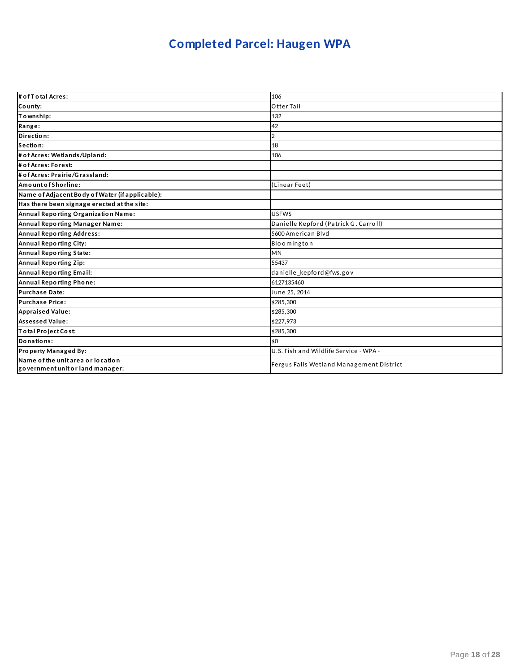# **Completed Parcel: Haugen WPA**

| # of T o tal Acres:                                                   | 106                                      |
|-----------------------------------------------------------------------|------------------------------------------|
| County:                                                               | Otter Tail                               |
| To wnship:                                                            | 132                                      |
| Range:                                                                | 42                                       |
| Direction:                                                            | 2                                        |
| Section:                                                              | 18                                       |
| # of Acres: Wetlands/Upland:                                          | 106                                      |
| # of Acres: Forest:                                                   |                                          |
| # of Acres: Prairie/Grassland:                                        |                                          |
| AmountofShorline:                                                     | (Linear Feet)                            |
| Name of Adjacent Body of Water (if applicable):                       |                                          |
| Has there been signage erected at the site:                           |                                          |
| Annual Reporting Organization Name:                                   | <b>USFWS</b>                             |
| Annual Reporting Manager Name:                                        | Danielle Kepford (Patrick G. Carroll)    |
| <b>Annual Reporting Address:</b>                                      | 5600 American Blyd                       |
| Annual Reporting City:                                                | Bloomington                              |
| Annual Reporting State:                                               | <b>MN</b>                                |
| Annual Reporting Zip:                                                 | 55437                                    |
| Annual Reporting Email:                                               | danielle_kepford@fws.gov                 |
| Annual Reporting Phone:                                               | 6127135460                               |
| <b>Purchase Date:</b>                                                 | June 25, 2014                            |
| <b>Purchase Price:</b>                                                | \$285,300                                |
| <b>Appraised Value:</b>                                               | \$285.300                                |
| <b>Assessed Value:</b>                                                | \$227.973                                |
| Total Project Cost:                                                   | \$285,300                                |
| Donations:                                                            | \$0                                      |
| Property Managed By:                                                  | U.S. Fish and Wildlife Service - WPA -   |
| Name of the unit area or location<br>government unit or land manager: | Fergus Falls Wetland Management District |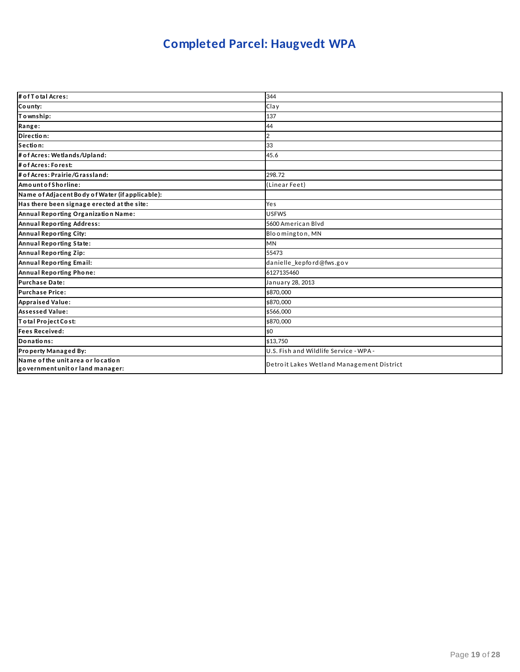# **Completed Parcel: Haugvedt WPA**

| # of T otal Acres:                                                    | 344                                       |
|-----------------------------------------------------------------------|-------------------------------------------|
| County:                                                               | Clay                                      |
| Township:                                                             | 137                                       |
| Range:                                                                | 44                                        |
| Direction:                                                            |                                           |
| Section:                                                              | 33                                        |
| # of Acres: Wetlands/Upland:                                          | 45.6                                      |
| # of Acres: Forest:                                                   |                                           |
| # of Acres: Prairie/Grassland:                                        | 298.72                                    |
| Amount of Shorline:                                                   | (Linear Feet)                             |
| Name of Adjacent Body of Water (if applicable):                       |                                           |
| Has there been signage erected at the site:                           | Yes                                       |
| Annual Reporting Organization Name:                                   | <b>USFWS</b>                              |
| <b>Annual Reporting Address:</b>                                      | 5600 American Blyd                        |
| <b>Annual Reporting City:</b>                                         | Bloomington, MN                           |
| Annual Reporting State:                                               | <b>MN</b>                                 |
| Annual Reporting Zip:                                                 | 55473                                     |
| Annual Reporting Email:                                               | danielle kepford@fws.gov                  |
| Annual Reporting Phone:                                               | 6127135460                                |
| <b>Purchase Date:</b>                                                 | January 28, 2013                          |
| <b>Purchase Price:</b>                                                | \$870,000                                 |
| <b>Appraised Value:</b>                                               | \$870,000                                 |
| <b>Assessed Value:</b>                                                | \$566.000                                 |
| Total Project Cost:                                                   | \$870,000                                 |
| <b>Fees Received:</b>                                                 | \$0                                       |
| Donations:                                                            | \$13,750                                  |
| Property Managed By:                                                  | U.S. Fish and Wildlife Service - WPA -    |
| Name of the unit area or location<br>government unit or land manager: | Detroit Lakes Wetland Management District |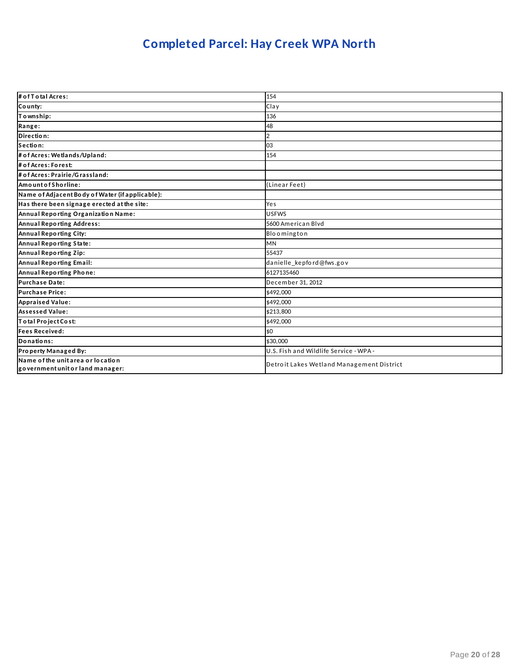# **Completed Parcel: Hay Creek WPA North**

| # of T o tal Acres:                                                   | 154                                       |
|-----------------------------------------------------------------------|-------------------------------------------|
| County:                                                               | Clay                                      |
| Township:                                                             | 136                                       |
| Range:                                                                | 48                                        |
| Direction:                                                            | $\overline{2}$                            |
| Section:                                                              | 03                                        |
| # of Acres: Wetlands/Upland:                                          | 154                                       |
| # of Acres: Forest:                                                   |                                           |
| # of Acres: Prairie/Grassland:                                        |                                           |
| Amount of Shorline:                                                   | (Linear Feet)                             |
| Name of Adjacent Body of Water (if applicable):                       |                                           |
| Has there been signage erected at the site:                           | Yes                                       |
| Annual Reporting Organization Name:                                   | <b>USFWS</b>                              |
| <b>Annual Reporting Address:</b>                                      | 5600 American Blyd                        |
| <b>Annual Reporting City:</b>                                         | Bloomington                               |
| Annual Reporting State:                                               | <b>MN</b>                                 |
| Annual Reporting Zip:                                                 | 55437                                     |
| Annual Reporting Email:                                               | danielle_kepford@fws.gov                  |
| Annual Reporting Phone:                                               | 6127135460                                |
| Purchase Date:                                                        | December 31, 2012                         |
| <b>Purchase Price:</b>                                                | \$492,000                                 |
| <b>Appraised Value:</b>                                               | \$492,000                                 |
| <b>Assessed Value:</b>                                                | \$213.800                                 |
| Total Project Cost:                                                   | \$492,000                                 |
| <b>Fees Received:</b>                                                 | \$0                                       |
| Donations:                                                            | \$30,000                                  |
| Property Managed By:                                                  | U.S. Fish and Wildlife Service - WPA -    |
| Name of the unit area or location<br>government unit or land manager: | Detroit Lakes Wetland Management District |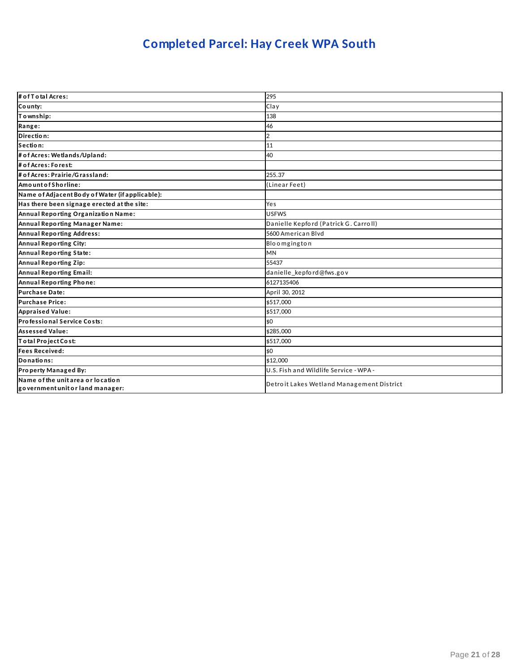# **Completed Parcel: Hay Creek WPA South**

| # of T o tal Acres:                                                   | 295                                       |
|-----------------------------------------------------------------------|-------------------------------------------|
| County:                                                               | Clay                                      |
| Township:                                                             | 138                                       |
| Range:                                                                | 46                                        |
| Direction:                                                            | $\overline{2}$                            |
| Section:                                                              | 11                                        |
| # of Acres: Wetlands/Upland:                                          | 40                                        |
| # of Acres: Forest:                                                   |                                           |
| # of Acres: Prairie/Grassland:                                        | 255.37                                    |
| Amount of Shorline:                                                   | (Linear Feet)                             |
| Name of Adjacent Body of Water (if applicable):                       |                                           |
| Has there been signage erected at the site:                           | Yes                                       |
| Annual Reporting Organization Name:                                   | <b>USFWS</b>                              |
| Annual Reporting Manager Name:                                        | Danielle Kepford (Patrick G. Carroll)     |
| <b>Annual Reporting Address:</b>                                      | 5600 American Blvd                        |
| Annual Reporting City:                                                | Bloomgington                              |
| Annual Reporting State:                                               | <b>MN</b>                                 |
| Annual Reporting Zip:                                                 | 55437                                     |
| Annual Reporting Email:                                               | danielle_kepford@fws.gov                  |
| Annual Reporting Phone:                                               | 6127135406                                |
| Purchase Date:                                                        | April 30, 2012                            |
| <b>Purchase Price:</b>                                                | \$517,000                                 |
| <b>Appraised Value:</b>                                               | \$517,000                                 |
| Professional Service Costs:                                           | \$0                                       |
| <b>Assessed Value:</b>                                                | \$285.000                                 |
| Total Project Cost:                                                   | \$517,000                                 |
| <b>Fees Received:</b>                                                 | \$0                                       |
| Donations:                                                            | \$12,000                                  |
| Property Managed By:                                                  | U.S. Fish and Wildlife Service - WPA -    |
| Name of the unit area or location<br>government unit or land manager: | Detroit Lakes Wetland Management District |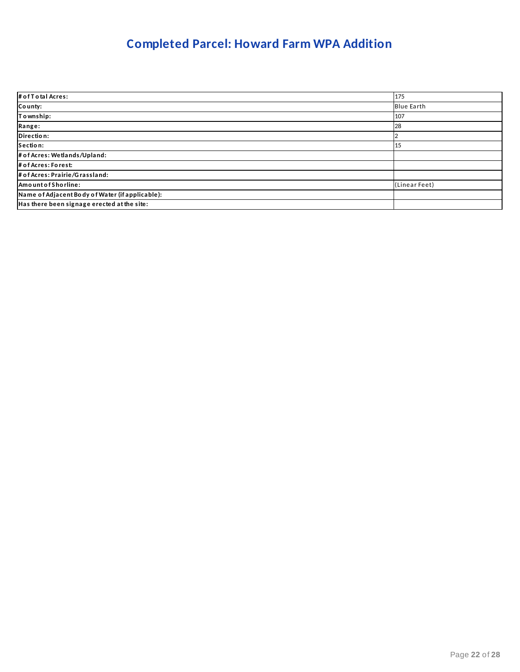## **Completed Parcel: Howard Farm WPA Addition**

| # of Total Acres:                               | 175               |
|-------------------------------------------------|-------------------|
| County:                                         | <b>Blue Earth</b> |
| To wnship:                                      | 107               |
| Range:                                          | 28                |
| Direction:                                      |                   |
| Section:                                        | 15                |
| # of Acres: Wetlands/Upland:                    |                   |
| # of Acres: Forest:                             |                   |
| # of Acres: Prairie/Grassland:                  |                   |
| AmountofShorline:                               | (Linear Feet)     |
| Name of Adjacent Body of Water (if applicable): |                   |
| Has there been signage erected at the site:     |                   |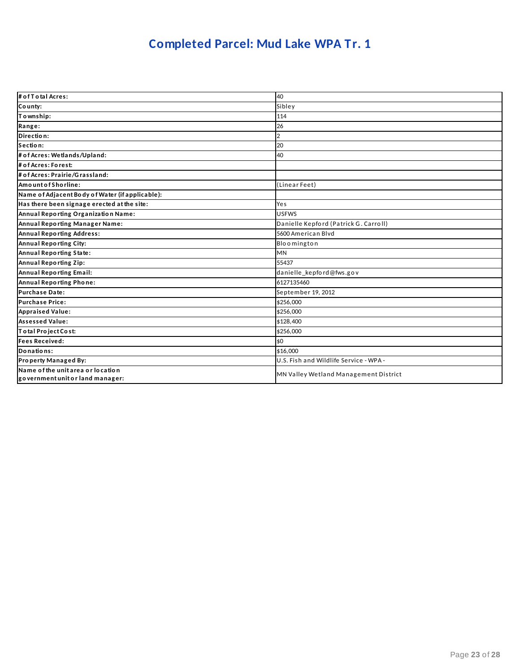# **Completed Parcel: Mud Lake WPA Tr. 1**

| # of T o tal Acres:                                                   | 40                                     |
|-----------------------------------------------------------------------|----------------------------------------|
| County:                                                               | Sibley                                 |
| To wnship:                                                            | 114                                    |
| Range:                                                                | 26                                     |
| Direction:                                                            | $\overline{2}$                         |
| Section:                                                              | 20                                     |
| # of Acres: Wetlands/Upland:                                          | 40                                     |
| # of Acres: Forest:                                                   |                                        |
| # of Acres: Prairie/Grassland:                                        |                                        |
| AmountofShorline:                                                     | (Linear Feet)                          |
| Name of Adjacent Body of Water (if applicable):                       |                                        |
| Has there been signage erected at the site:                           | Yes                                    |
| Annual Reporting Organization Name:                                   | <b>USFWS</b>                           |
| Annual Reporting Manager Name:                                        | Danielle Kepford (Patrick G. Carroll)  |
| <b>Annual Reporting Address:</b>                                      | 5600 American Blyd                     |
| <b>Annual Reporting City:</b>                                         | Bloomington                            |
| Annual Reporting State:                                               | <b>MN</b>                              |
| Annual Reporting Zip:                                                 | 55437                                  |
| Annual Reporting Email:                                               | danielle kepford@fws.gov               |
| Annual Reporting Phone:                                               | 6127135460                             |
| <b>Purchase Date:</b>                                                 | September 19, 2012                     |
| <b>Purchase Price:</b>                                                | \$256,000                              |
| <b>Appraised Value:</b>                                               | \$256,000                              |
| <b>Assessed Value:</b>                                                | \$128,400                              |
| Total Project Cost:                                                   | \$256,000                              |
| <b>Fees Received:</b>                                                 | \$0                                    |
| Donations:                                                            | \$16,000                               |
| Property Managed By:                                                  | U.S. Fish and Wildlife Service - WPA - |
| Name of the unit area or location<br>government unit or land manager: | MN Valley Wetland Management District  |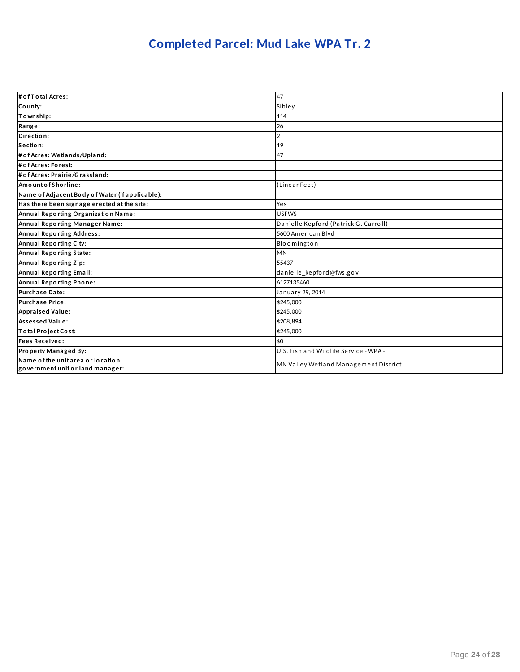# **Completed Parcel: Mud Lake WPA Tr. 2**

| # of T o tal Acres:                                                   | 47                                     |
|-----------------------------------------------------------------------|----------------------------------------|
| County:                                                               | Sibley                                 |
| Township:                                                             | 114                                    |
| Range:                                                                | 26                                     |
| Direction:                                                            | $\overline{2}$                         |
| Section:                                                              | 19                                     |
| # of Acres: Wetlands/Upland:                                          | 47                                     |
| # of Acres: Forest:                                                   |                                        |
| # of Acres: Prairie/Grassland:                                        |                                        |
| AmountofShorline:                                                     | (Linear Feet)                          |
| Name of Adjacent Body of Water (if applicable):                       |                                        |
| Has there been signage erected at the site:                           | Yes                                    |
| Annual Reporting Organization Name:                                   | <b>USFWS</b>                           |
| Annual Reporting Manager Name:                                        | Danielle Kepford (Patrick G. Carroll)  |
| <b>Annual Reporting Address:</b>                                      | 5600 American Blyd                     |
| <b>Annual Reporting City:</b>                                         | Bloomington                            |
| Annual Reporting State:                                               | <b>MN</b>                              |
| Annual Reporting Zip:                                                 | 55437                                  |
| Annual Reporting Email:                                               | danielle kepford@fws.gov               |
| Annual Reporting Phone:                                               | 6127135460                             |
| <b>Purchase Date:</b>                                                 | January 29, 2014                       |
| <b>Purchase Price:</b>                                                | \$245,000                              |
| <b>Appraised Value:</b>                                               | \$245,000                              |
| <b>Assessed Value:</b>                                                | \$208.894                              |
| Total Project Cost:                                                   | \$245,000                              |
| <b>Fees Received:</b>                                                 | \$0                                    |
| Property Managed By:                                                  | U.S. Fish and Wildlife Service - WPA - |
| Name of the unit area or location<br>government unit or land manager: | MN Valley Wetland Management District  |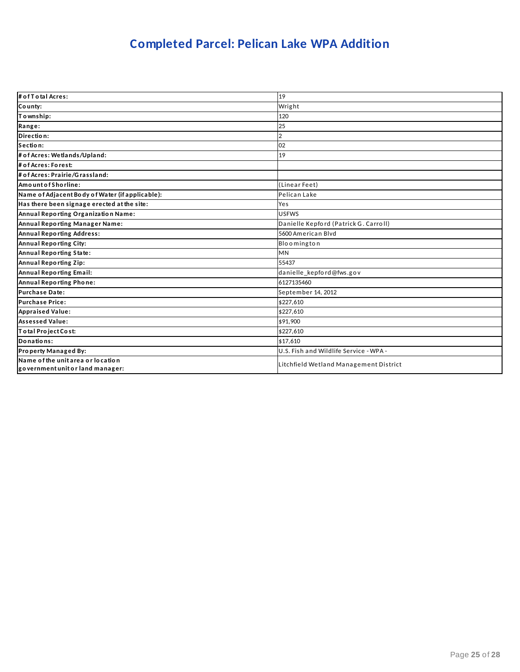# **Completed Parcel: Pelican Lake WPA Addition**

| # of T o tal Acres:                                                   | 19                                     |
|-----------------------------------------------------------------------|----------------------------------------|
| County:                                                               | Wright                                 |
| To wnship:                                                            | 120                                    |
| Range:                                                                | 25                                     |
| Direction:                                                            | $\mathcal{D}$                          |
| Section:                                                              | 02                                     |
| # of Acres: Wetlands/Upland:                                          | 19                                     |
| # of Acres: Forest:                                                   |                                        |
| # of Acres: Prairie/Grassland:                                        |                                        |
| AmountofShorline:                                                     | (Linear Feet)                          |
| Name of Adjacent Body of Water (if applicable):                       | Pelican Lake                           |
| Has there been signage erected at the site:                           | Yes                                    |
| Annual Reporting Organization Name:                                   | <b>USFWS</b>                           |
| Annual Reporting Manager Name:                                        | Danielle Kepford (Patrick G. Carroll)  |
| <b>Annual Reporting Address:</b>                                      | 5600 American Blvd                     |
| Annual Reporting City:                                                | Bloomington                            |
| Annual Reporting State:                                               | <b>MN</b>                              |
| Annual Reporting Zip:                                                 | 55437                                  |
| Annual Reporting Email:                                               | danielle_kepford@fws.gov               |
| Annual Reporting Phone:                                               | 6127135460                             |
| <b>Purchase Date:</b>                                                 | September 14, 2012                     |
| <b>Purchase Price:</b>                                                | \$227,610                              |
| <b>Appraised Value:</b>                                               | \$227.610                              |
| <b>Assessed Value:</b>                                                | \$91.900                               |
| Total Project Cost:                                                   | \$227.610                              |
| Donations:                                                            | \$17.610                               |
| Property Managed By:                                                  | U.S. Fish and Wildlife Service - WPA - |
| Name of the unit area or location<br>government unit or land manager: | Litchfield Wetland Management District |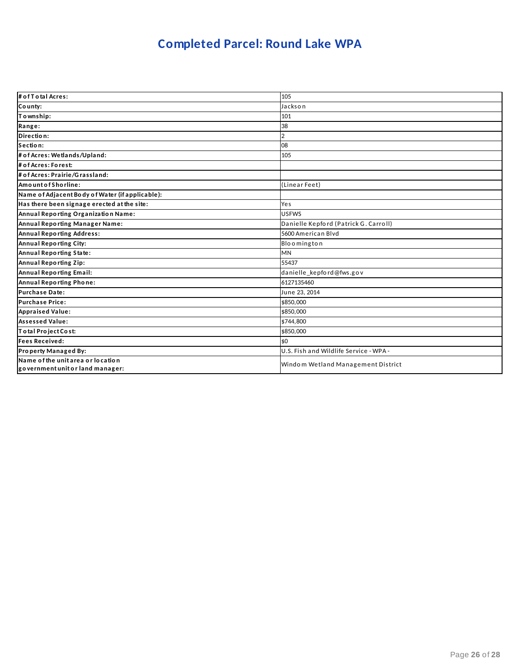# **Completed Parcel: Round Lake WPA**

| # of T o tal Acres:                                                   | 105                                    |
|-----------------------------------------------------------------------|----------------------------------------|
| County:                                                               | Jackson                                |
| Township:                                                             | 101                                    |
| Range:                                                                | 38                                     |
| Direction:                                                            |                                        |
| Section:                                                              | 08                                     |
| # of Acres: Wetlands/Upland:                                          | 105                                    |
| # of Acres: Forest:                                                   |                                        |
| # of Acres: Prairie/Grassland:                                        |                                        |
| Amount of Shorline:                                                   | (Linear Feet)                          |
| Name of Adjacent Body of Water (if applicable):                       |                                        |
| Has there been signage erected at the site:                           | Yes                                    |
| Annual Reporting Organization Name:                                   | <b>USFWS</b>                           |
| Annual Reporting Manager Name:                                        | Danielle Kepford (Patrick G. Carroll)  |
| <b>Annual Reporting Address:</b>                                      | 5600 American Blyd                     |
| Annual Reporting City:                                                | Bloomington                            |
| Annual Reporting State:                                               | <b>MN</b>                              |
| Annual Reporting Zip:                                                 | 55437                                  |
| <b>Annual Reporting Email:</b>                                        | danielle_kepford@fws.gov               |
| Annual Reporting Phone:                                               | 6127135460                             |
| <b>Purchase Date:</b>                                                 | June 23, 2014                          |
| <b>Purchase Price:</b>                                                | \$850,000                              |
| <b>Appraised Value:</b>                                               | \$850,000                              |
| <b>Assessed Value:</b>                                                | \$744,800                              |
| Total Project Cost:                                                   | \$850,000                              |
| <b>Fees Received:</b>                                                 | \$0                                    |
| Property Managed By:                                                  | U.S. Fish and Wildlife Service - WPA - |
| Name of the unit area or location<br>government unit or land manager: | Windom Wetland Management District     |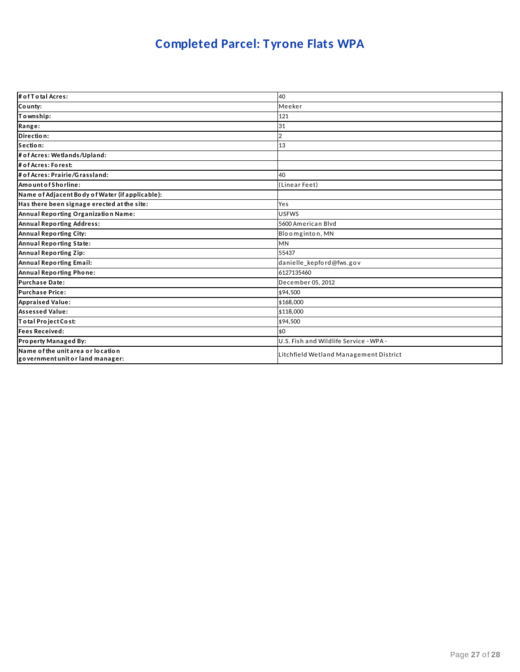# **Completed Parcel: Tyrone Flats WPA**

| # of T o tal Acres:                                                   | 40                                     |
|-----------------------------------------------------------------------|----------------------------------------|
| County:                                                               | Meeker                                 |
| To wnship:                                                            | 121                                    |
| Range:                                                                | 31                                     |
| Direction:                                                            |                                        |
| Section:                                                              | 13                                     |
| # of Acres: Wetlands/Upland:                                          |                                        |
| # of Acres: Forest:                                                   |                                        |
| # of Acres: Prairie/Grassland:                                        | 40                                     |
| AmountofShorline:                                                     | (Linear Feet)                          |
| Name of Adjacent Body of Water (if applicable):                       |                                        |
| Has there been signage erected at the site:                           | Yes                                    |
| Annual Reporting Organization Name:                                   | <b>USFWS</b>                           |
| <b>Annual Reporting Address:</b>                                      | 5600 American Blyd                     |
| Annual Reporting City:                                                | Bloomginton, MN                        |
| Annual Reporting State:                                               | <b>MN</b>                              |
| Annual Reporting Zip:                                                 | 55437                                  |
| Annual Reporting Email:                                               | danielle_kepford@fws.gov               |
| Annual Reporting Phone:                                               | 6127135460                             |
| <b>Purchase Date:</b>                                                 | December 05, 2012                      |
| <b>Purchase Price:</b>                                                | \$94,500                               |
| <b>Appraised Value:</b>                                               | \$168,000                              |
| <b>Assessed Value:</b>                                                | \$118,000                              |
| Total Project Cost:                                                   | \$94,500                               |
| <b>Fees Received:</b>                                                 | \$0                                    |
| Property Managed By:                                                  | U.S. Fish and Wildlife Service - WPA - |
| Name of the unit area or location<br>government unit or land manager: | Litchfield Wetland Management District |